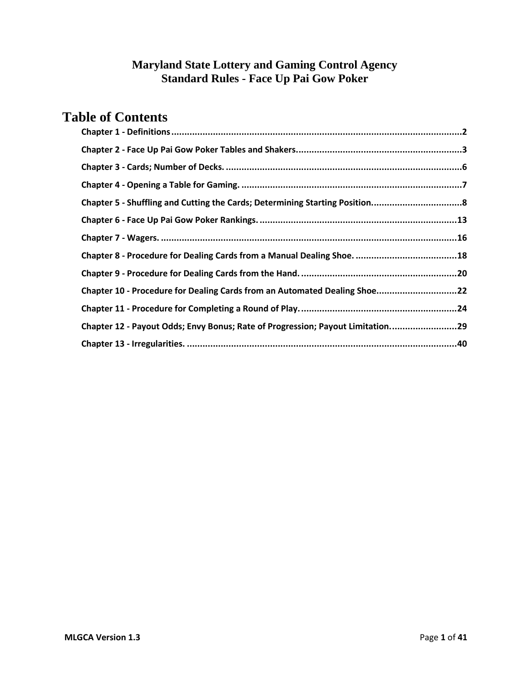# **Table of Contents**

| Chapter 10 - Procedure for Dealing Cards from an Automated Dealing Shoe22      |  |
|--------------------------------------------------------------------------------|--|
|                                                                                |  |
| Chapter 12 - Payout Odds; Envy Bonus; Rate of Progression; Payout Limitation29 |  |
|                                                                                |  |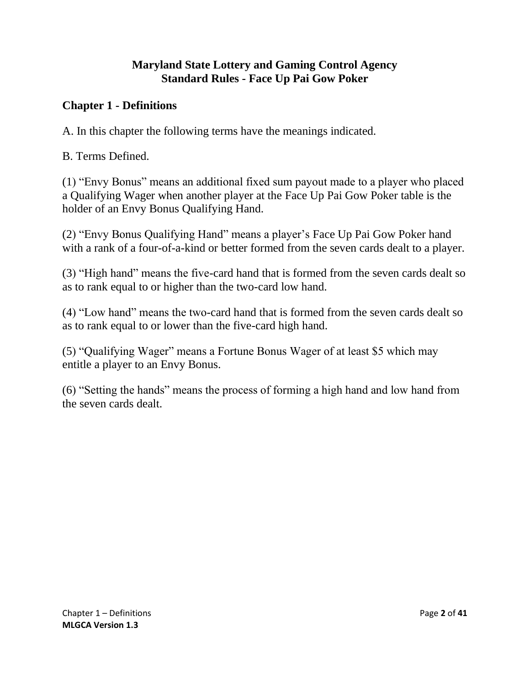### <span id="page-1-0"></span>**Chapter 1 - Definitions**

A. In this chapter the following terms have the meanings indicated.

B. Terms Defined.

(1) "Envy Bonus" means an additional fixed sum payout made to a player who placed a Qualifying Wager when another player at the Face Up Pai Gow Poker table is the holder of an Envy Bonus Qualifying Hand.

(2) "Envy Bonus Qualifying Hand" means a player's Face Up Pai Gow Poker hand with a rank of a four-of-a-kind or better formed from the seven cards dealt to a player.

(3) "High hand" means the five-card hand that is formed from the seven cards dealt so as to rank equal to or higher than the two-card low hand.

(4) "Low hand" means the two-card hand that is formed from the seven cards dealt so as to rank equal to or lower than the five-card high hand.

(5) "Qualifying Wager" means a Fortune Bonus Wager of at least \$5 which may entitle a player to an Envy Bonus.

(6) "Setting the hands" means the process of forming a high hand and low hand from the seven cards dealt.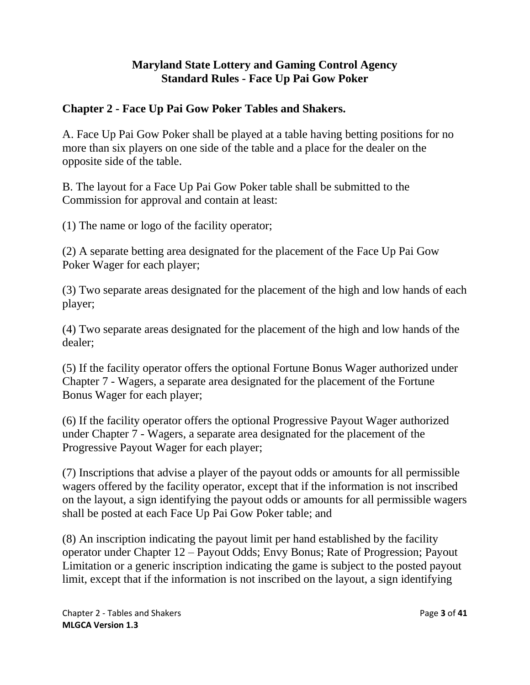### <span id="page-2-0"></span>**Chapter 2 - Face Up Pai Gow Poker Tables and Shakers.**

A. Face Up Pai Gow Poker shall be played at a table having betting positions for no more than six players on one side of the table and a place for the dealer on the opposite side of the table.

B. The layout for a Face Up Pai Gow Poker table shall be submitted to the Commission for approval and contain at least:

(1) The name or logo of the facility operator;

(2) A separate betting area designated for the placement of the Face Up Pai Gow Poker Wager for each player;

(3) Two separate areas designated for the placement of the high and low hands of each player;

(4) Two separate areas designated for the placement of the high and low hands of the dealer;

(5) If the facility operator offers the optional Fortune Bonus Wager authorized under Chapter 7 - Wagers, a separate area designated for the placement of the Fortune Bonus Wager for each player;

(6) If the facility operator offers the optional Progressive Payout Wager authorized under Chapter 7 - Wagers, a separate area designated for the placement of the Progressive Payout Wager for each player;

(7) Inscriptions that advise a player of the payout odds or amounts for all permissible wagers offered by the facility operator, except that if the information is not inscribed on the layout, a sign identifying the payout odds or amounts for all permissible wagers shall be posted at each Face Up Pai Gow Poker table; and

(8) An inscription indicating the payout limit per hand established by the facility operator under Chapter 12 – Payout Odds; Envy Bonus; Rate of Progression; Payout Limitation or a generic inscription indicating the game is subject to the posted payout limit, except that if the information is not inscribed on the layout, a sign identifying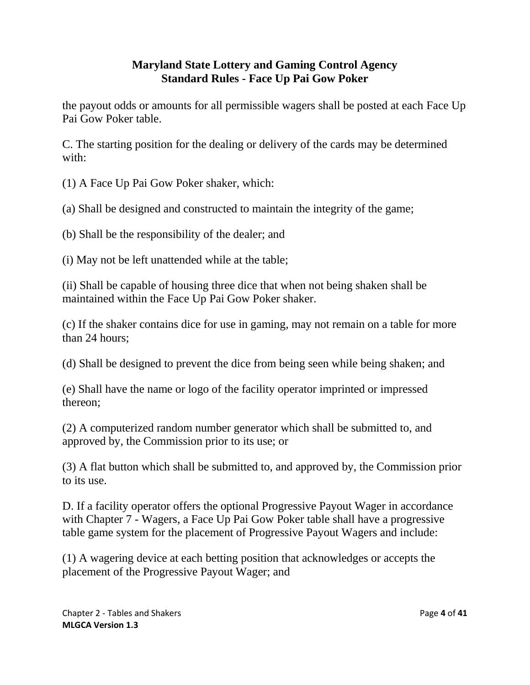the payout odds or amounts for all permissible wagers shall be posted at each Face Up Pai Gow Poker table.

C. The starting position for the dealing or delivery of the cards may be determined with:

(1) A Face Up Pai Gow Poker shaker, which:

(a) Shall be designed and constructed to maintain the integrity of the game;

(b) Shall be the responsibility of the dealer; and

(i) May not be left unattended while at the table;

(ii) Shall be capable of housing three dice that when not being shaken shall be maintained within the Face Up Pai Gow Poker shaker.

(c) If the shaker contains dice for use in gaming, may not remain on a table for more than 24 hours;

(d) Shall be designed to prevent the dice from being seen while being shaken; and

(e) Shall have the name or logo of the facility operator imprinted or impressed thereon;

(2) A computerized random number generator which shall be submitted to, and approved by, the Commission prior to its use; or

(3) A flat button which shall be submitted to, and approved by, the Commission prior to its use.

D. If a facility operator offers the optional Progressive Payout Wager in accordance with Chapter 7 - Wagers, a Face Up Pai Gow Poker table shall have a progressive table game system for the placement of Progressive Payout Wagers and include:

(1) A wagering device at each betting position that acknowledges or accepts the placement of the Progressive Payout Wager; and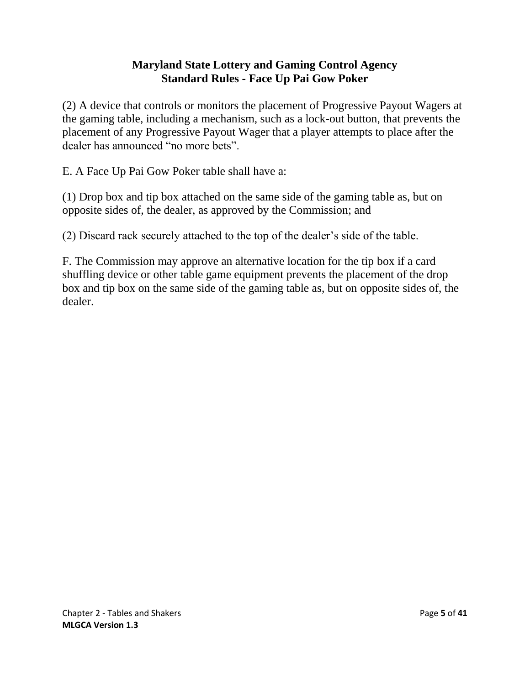(2) A device that controls or monitors the placement of Progressive Payout Wagers at the gaming table, including a mechanism, such as a lock-out button, that prevents the placement of any Progressive Payout Wager that a player attempts to place after the dealer has announced "no more bets".

E. A Face Up Pai Gow Poker table shall have a:

(1) Drop box and tip box attached on the same side of the gaming table as, but on opposite sides of, the dealer, as approved by the Commission; and

(2) Discard rack securely attached to the top of the dealer's side of the table.

F. The Commission may approve an alternative location for the tip box if a card shuffling device or other table game equipment prevents the placement of the drop box and tip box on the same side of the gaming table as, but on opposite sides of, the dealer.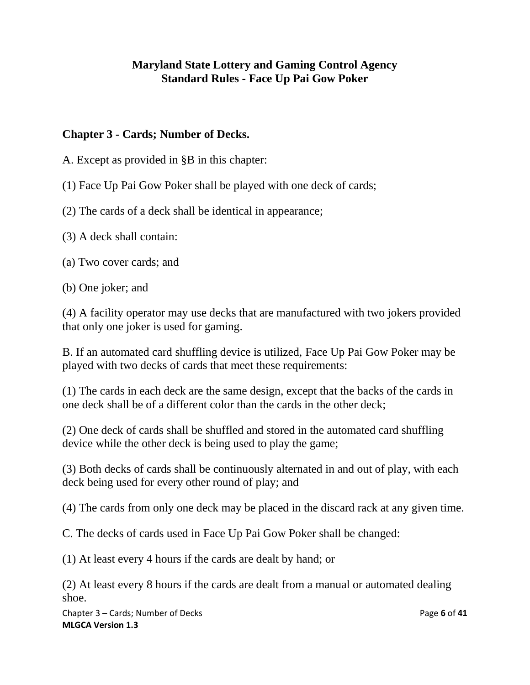### <span id="page-5-0"></span>**Chapter 3 - Cards; Number of Decks.**

A. Except as provided in §B in this chapter:

(1) Face Up Pai Gow Poker shall be played with one deck of cards;

(2) The cards of a deck shall be identical in appearance;

(3) A deck shall contain:

(a) Two cover cards; and

(b) One joker; and

(4) A facility operator may use decks that are manufactured with two jokers provided that only one joker is used for gaming.

B. If an automated card shuffling device is utilized, Face Up Pai Gow Poker may be played with two decks of cards that meet these requirements:

(1) The cards in each deck are the same design, except that the backs of the cards in one deck shall be of a different color than the cards in the other deck;

(2) One deck of cards shall be shuffled and stored in the automated card shuffling device while the other deck is being used to play the game;

(3) Both decks of cards shall be continuously alternated in and out of play, with each deck being used for every other round of play; and

(4) The cards from only one deck may be placed in the discard rack at any given time.

C. The decks of cards used in Face Up Pai Gow Poker shall be changed:

(1) At least every 4 hours if the cards are dealt by hand; or

(2) At least every 8 hours if the cards are dealt from a manual or automated dealing shoe.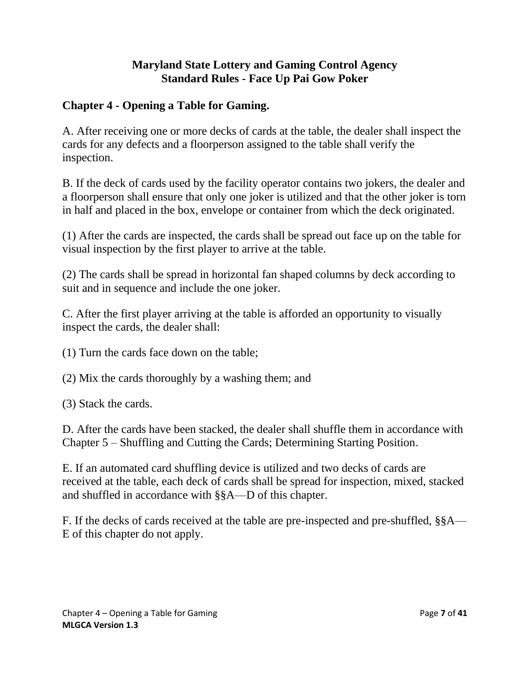# <span id="page-6-0"></span>**Chapter 4 - Opening a Table for Gaming.**

A. After receiving one or more decks of cards at the table, the dealer shall inspect the cards for any defects and a floorperson assigned to the table shall verify the inspection.

B. If the deck of cards used by the facility operator contains two jokers, the dealer and a floorperson shall ensure that only one joker is utilized and that the other joker is torn in half and placed in the box, envelope or container from which the deck originated.

(1) After the cards are inspected, the cards shall be spread out face up on the table for visual inspection by the first player to arrive at the table.

(2) The cards shall be spread in horizontal fan shaped columns by deck according to suit and in sequence and include the one joker.

C. After the first player arriving at the table is afforded an opportunity to visually inspect the cards, the dealer shall:

(1) Turn the cards face down on the table;

(2) Mix the cards thoroughly by a washing them; and

(3) Stack the cards.

D. After the cards have been stacked, the dealer shall shuffle them in accordance with Chapter 5 – Shuffling and Cutting the Cards; Determining Starting Position.

E. If an automated card shuffling device is utilized and two decks of cards are received at the table, each deck of cards shall be spread for inspection, mixed, stacked and shuffled in accordance with §§A—D of this chapter.

F. If the decks of cards received at the table are pre-inspected and pre-shuffled, §§A— E of this chapter do not apply.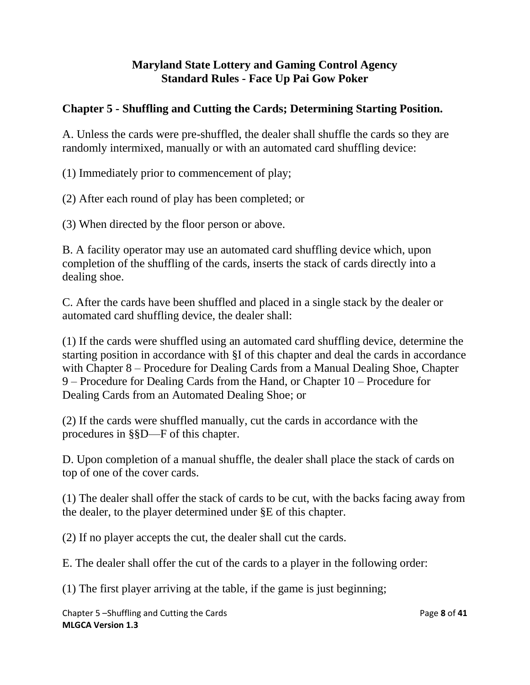# <span id="page-7-0"></span>**Chapter 5 - Shuffling and Cutting the Cards; Determining Starting Position.**

A. Unless the cards were pre-shuffled, the dealer shall shuffle the cards so they are randomly intermixed, manually or with an automated card shuffling device:

(1) Immediately prior to commencement of play;

(2) After each round of play has been completed; or

(3) When directed by the floor person or above.

B. A facility operator may use an automated card shuffling device which, upon completion of the shuffling of the cards, inserts the stack of cards directly into a dealing shoe.

C. After the cards have been shuffled and placed in a single stack by the dealer or automated card shuffling device, the dealer shall:

(1) If the cards were shuffled using an automated card shuffling device, determine the starting position in accordance with §I of this chapter and deal the cards in accordance with Chapter 8 – Procedure for Dealing Cards from a Manual Dealing Shoe, Chapter 9 – Procedure for Dealing Cards from the Hand, or Chapter 10 – Procedure for Dealing Cards from an Automated Dealing Shoe; or

(2) If the cards were shuffled manually, cut the cards in accordance with the procedures in §§D—F of this chapter.

D. Upon completion of a manual shuffle, the dealer shall place the stack of cards on top of one of the cover cards.

(1) The dealer shall offer the stack of cards to be cut, with the backs facing away from the dealer, to the player determined under §E of this chapter.

(2) If no player accepts the cut, the dealer shall cut the cards.

E. The dealer shall offer the cut of the cards to a player in the following order:

(1) The first player arriving at the table, if the game is just beginning;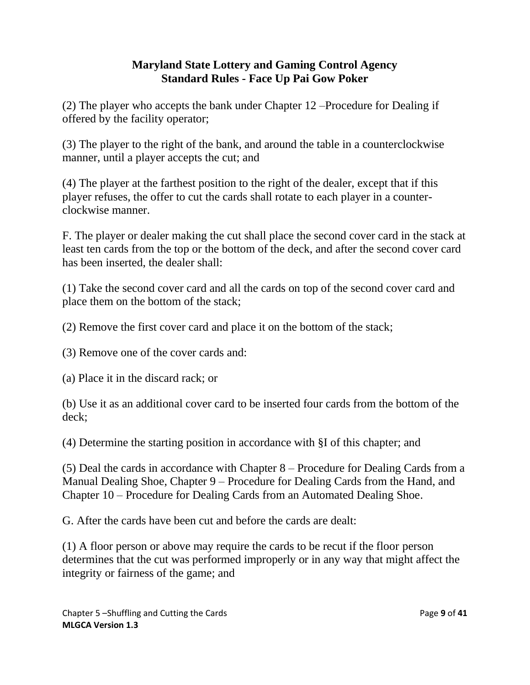(2) The player who accepts the bank under Chapter 12 –Procedure for Dealing if offered by the facility operator;

(3) The player to the right of the bank, and around the table in a counterclockwise manner, until a player accepts the cut; and

(4) The player at the farthest position to the right of the dealer, except that if this player refuses, the offer to cut the cards shall rotate to each player in a counterclockwise manner.

F. The player or dealer making the cut shall place the second cover card in the stack at least ten cards from the top or the bottom of the deck, and after the second cover card has been inserted, the dealer shall:

(1) Take the second cover card and all the cards on top of the second cover card and place them on the bottom of the stack;

(2) Remove the first cover card and place it on the bottom of the stack;

(3) Remove one of the cover cards and:

(a) Place it in the discard rack; or

(b) Use it as an additional cover card to be inserted four cards from the bottom of the deck;

(4) Determine the starting position in accordance with §I of this chapter; and

(5) Deal the cards in accordance with Chapter 8 – Procedure for Dealing Cards from a Manual Dealing Shoe, Chapter 9 – Procedure for Dealing Cards from the Hand, and Chapter 10 – Procedure for Dealing Cards from an Automated Dealing Shoe.

G. After the cards have been cut and before the cards are dealt:

(1) A floor person or above may require the cards to be recut if the floor person determines that the cut was performed improperly or in any way that might affect the integrity or fairness of the game; and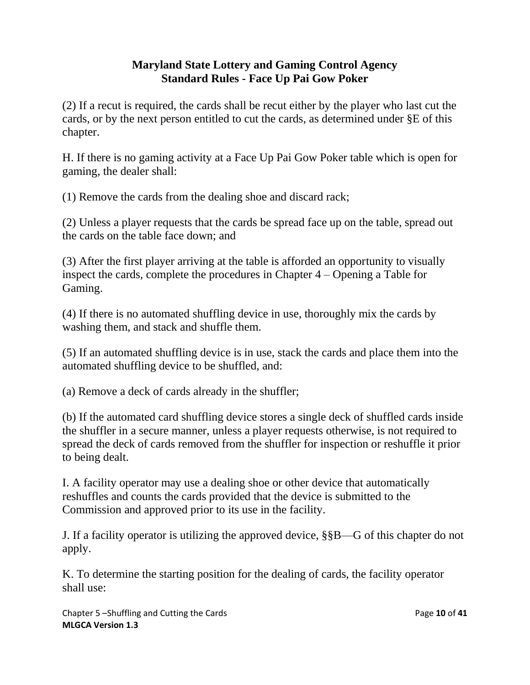(2) If a recut is required, the cards shall be recut either by the player who last cut the cards, or by the next person entitled to cut the cards, as determined under §E of this chapter.

H. If there is no gaming activity at a Face Up Pai Gow Poker table which is open for gaming, the dealer shall:

(1) Remove the cards from the dealing shoe and discard rack;

(2) Unless a player requests that the cards be spread face up on the table, spread out the cards on the table face down; and

(3) After the first player arriving at the table is afforded an opportunity to visually inspect the cards, complete the procedures in Chapter 4 – Opening a Table for Gaming.

(4) If there is no automated shuffling device in use, thoroughly mix the cards by washing them, and stack and shuffle them.

(5) If an automated shuffling device is in use, stack the cards and place them into the automated shuffling device to be shuffled, and:

(a) Remove a deck of cards already in the shuffler;

(b) If the automated card shuffling device stores a single deck of shuffled cards inside the shuffler in a secure manner, unless a player requests otherwise, is not required to spread the deck of cards removed from the shuffler for inspection or reshuffle it prior to being dealt.

I. A facility operator may use a dealing shoe or other device that automatically reshuffles and counts the cards provided that the device is submitted to the Commission and approved prior to its use in the facility.

J. If a facility operator is utilizing the approved device, §§B—G of this chapter do not apply.

K. To determine the starting position for the dealing of cards, the facility operator shall use:

Chapter 5 –Shuffling and Cutting the Cards Page **10** of **41 MLGCA Version 1.3**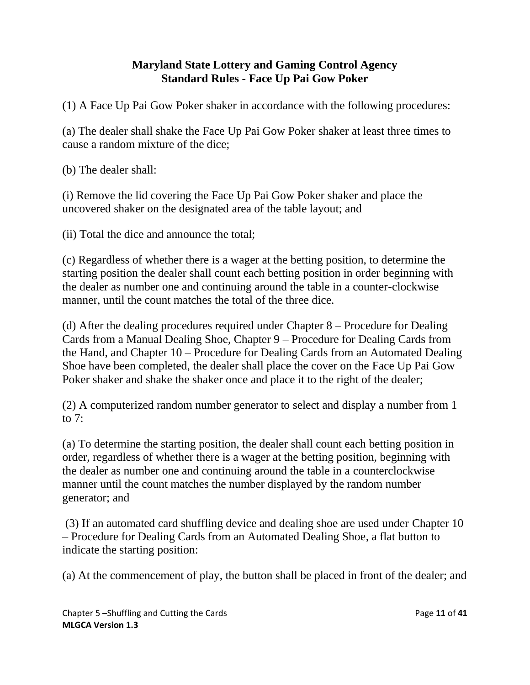(1) A Face Up Pai Gow Poker shaker in accordance with the following procedures:

(a) The dealer shall shake the Face Up Pai Gow Poker shaker at least three times to cause a random mixture of the dice;

(b) The dealer shall:

(i) Remove the lid covering the Face Up Pai Gow Poker shaker and place the uncovered shaker on the designated area of the table layout; and

(ii) Total the dice and announce the total;

(c) Regardless of whether there is a wager at the betting position, to determine the starting position the dealer shall count each betting position in order beginning with the dealer as number one and continuing around the table in a counter-clockwise manner, until the count matches the total of the three dice.

(d) After the dealing procedures required under Chapter 8 – Procedure for Dealing Cards from a Manual Dealing Shoe, Chapter 9 – Procedure for Dealing Cards from the Hand, and Chapter 10 – Procedure for Dealing Cards from an Automated Dealing Shoe have been completed, the dealer shall place the cover on the Face Up Pai Gow Poker shaker and shake the shaker once and place it to the right of the dealer;

(2) A computerized random number generator to select and display a number from 1 to  $7:$ 

(a) To determine the starting position, the dealer shall count each betting position in order, regardless of whether there is a wager at the betting position, beginning with the dealer as number one and continuing around the table in a counterclockwise manner until the count matches the number displayed by the random number generator; and

(3) If an automated card shuffling device and dealing shoe are used under Chapter 10 – Procedure for Dealing Cards from an Automated Dealing Shoe, a flat button to indicate the starting position:

(a) At the commencement of play, the button shall be placed in front of the dealer; and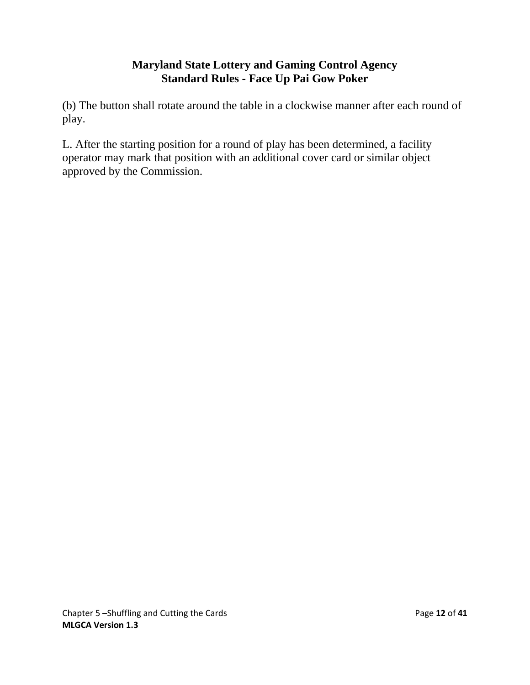(b) The button shall rotate around the table in a clockwise manner after each round of play.

L. After the starting position for a round of play has been determined, a facility operator may mark that position with an additional cover card or similar object approved by the Commission.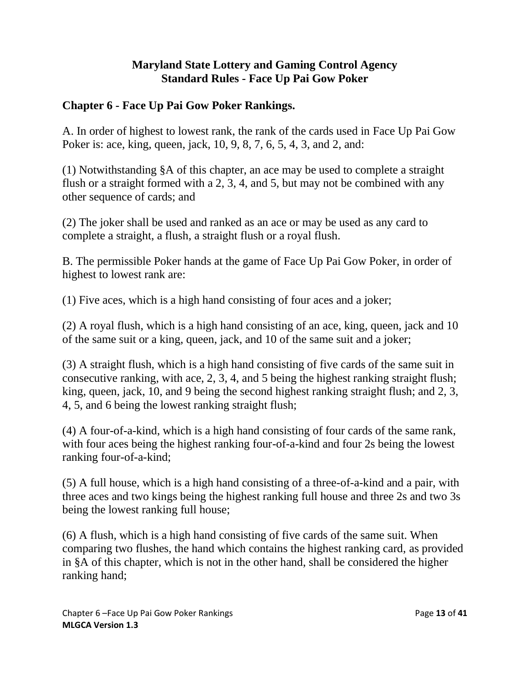### <span id="page-12-0"></span>**Chapter 6 - Face Up Pai Gow Poker Rankings.**

A. In order of highest to lowest rank, the rank of the cards used in Face Up Pai Gow Poker is: ace, king, queen, jack, 10, 9, 8, 7, 6, 5, 4, 3, and 2, and:

(1) Notwithstanding §A of this chapter, an ace may be used to complete a straight flush or a straight formed with a 2, 3, 4, and 5, but may not be combined with any other sequence of cards; and

(2) The joker shall be used and ranked as an ace or may be used as any card to complete a straight, a flush, a straight flush or a royal flush.

B. The permissible Poker hands at the game of Face Up Pai Gow Poker, in order of highest to lowest rank are:

(1) Five aces, which is a high hand consisting of four aces and a joker;

(2) A royal flush, which is a high hand consisting of an ace, king, queen, jack and 10 of the same suit or a king, queen, jack, and 10 of the same suit and a joker;

(3) A straight flush, which is a high hand consisting of five cards of the same suit in consecutive ranking, with ace, 2, 3, 4, and 5 being the highest ranking straight flush; king, queen, jack, 10, and 9 being the second highest ranking straight flush; and 2, 3, 4, 5, and 6 being the lowest ranking straight flush;

(4) A four-of-a-kind, which is a high hand consisting of four cards of the same rank, with four aces being the highest ranking four-of-a-kind and four 2s being the lowest ranking four-of-a-kind;

(5) A full house, which is a high hand consisting of a three-of-a-kind and a pair, with three aces and two kings being the highest ranking full house and three 2s and two 3s being the lowest ranking full house;

(6) A flush, which is a high hand consisting of five cards of the same suit. When comparing two flushes, the hand which contains the highest ranking card, as provided in §A of this chapter, which is not in the other hand, shall be considered the higher ranking hand;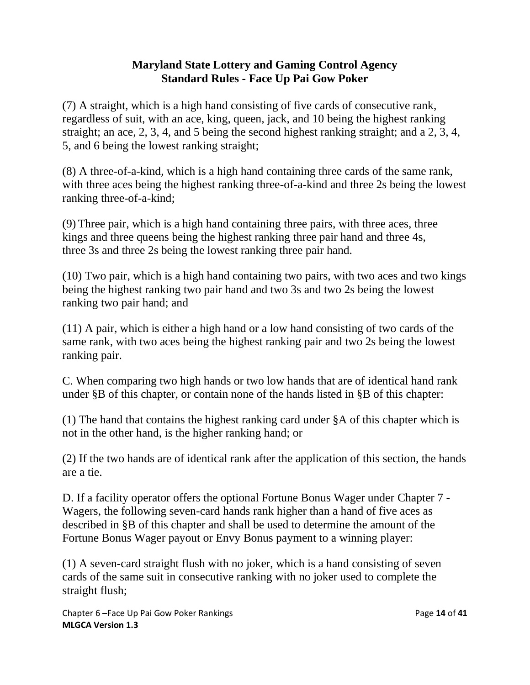(7) A straight, which is a high hand consisting of five cards of consecutive rank, regardless of suit, with an ace, king, queen, jack, and 10 being the highest ranking straight; an ace, 2, 3, 4, and 5 being the second highest ranking straight; and a 2, 3, 4, 5, and 6 being the lowest ranking straight;

(8) A three-of-a-kind, which is a high hand containing three cards of the same rank, with three aces being the highest ranking three-of-a-kind and three 2s being the lowest ranking three-of-a-kind;

(9) Three pair, which is a high hand containing three pairs, with three aces, three kings and three queens being the highest ranking three pair hand and three 4s, three 3s and three 2s being the lowest ranking three pair hand.

(10) Two pair, which is a high hand containing two pairs, with two aces and two kings being the highest ranking two pair hand and two 3s and two 2s being the lowest ranking two pair hand; and

(11) A pair, which is either a high hand or a low hand consisting of two cards of the same rank, with two aces being the highest ranking pair and two 2s being the lowest ranking pair.

C. When comparing two high hands or two low hands that are of identical hand rank under §B of this chapter, or contain none of the hands listed in §B of this chapter:

(1) The hand that contains the highest ranking card under §A of this chapter which is not in the other hand, is the higher ranking hand; or

(2) If the two hands are of identical rank after the application of this section, the hands are a tie.

D. If a facility operator offers the optional Fortune Bonus Wager under Chapter 7 - Wagers, the following seven-card hands rank higher than a hand of five aces as described in §B of this chapter and shall be used to determine the amount of the Fortune Bonus Wager payout or Envy Bonus payment to a winning player:

(1) A seven-card straight flush with no joker, which is a hand consisting of seven cards of the same suit in consecutive ranking with no joker used to complete the straight flush;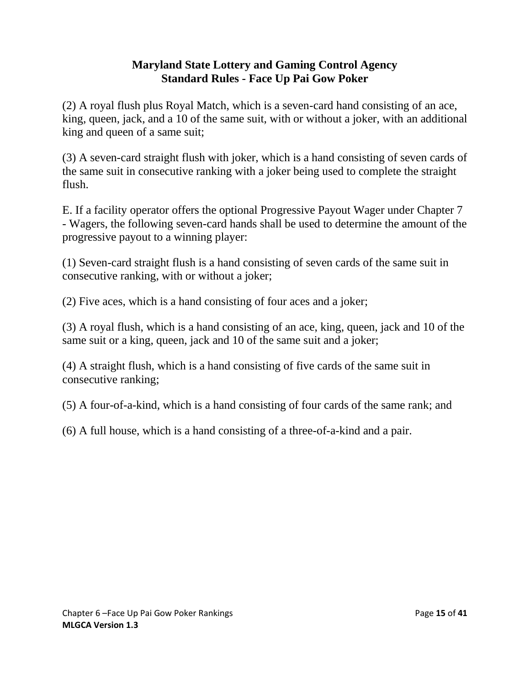(2) A royal flush plus Royal Match, which is a seven-card hand consisting of an ace, king, queen, jack, and a 10 of the same suit, with or without a joker, with an additional king and queen of a same suit;

(3) A seven-card straight flush with joker, which is a hand consisting of seven cards of the same suit in consecutive ranking with a joker being used to complete the straight flush.

E. If a facility operator offers the optional Progressive Payout Wager under Chapter 7 - Wagers, the following seven-card hands shall be used to determine the amount of the progressive payout to a winning player:

(1) Seven-card straight flush is a hand consisting of seven cards of the same suit in consecutive ranking, with or without a joker;

(2) Five aces, which is a hand consisting of four aces and a joker;

(3) A royal flush, which is a hand consisting of an ace, king, queen, jack and 10 of the same suit or a king, queen, jack and 10 of the same suit and a joker;

(4) A straight flush, which is a hand consisting of five cards of the same suit in consecutive ranking;

(5) A four-of-a-kind, which is a hand consisting of four cards of the same rank; and

(6) A full house, which is a hand consisting of a three-of-a-kind and a pair.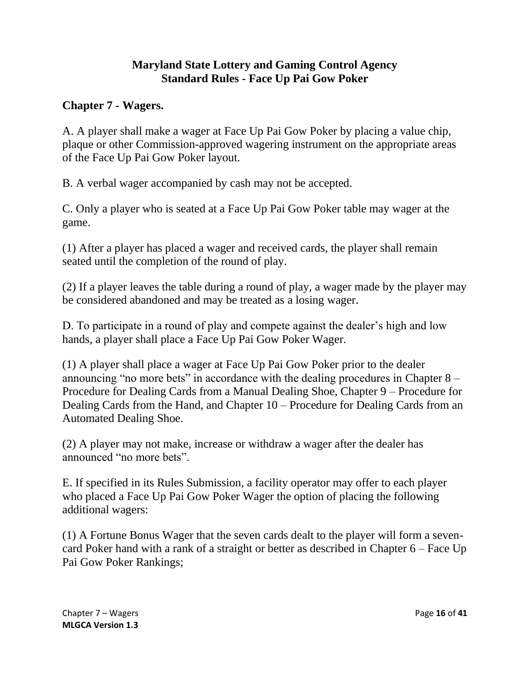#### <span id="page-15-0"></span>**Chapter 7 - Wagers.**

A. A player shall make a wager at Face Up Pai Gow Poker by placing a value chip, plaque or other Commission-approved wagering instrument on the appropriate areas of the Face Up Pai Gow Poker layout.

B. A verbal wager accompanied by cash may not be accepted.

C. Only a player who is seated at a Face Up Pai Gow Poker table may wager at the game.

(1) After a player has placed a wager and received cards, the player shall remain seated until the completion of the round of play.

(2) If a player leaves the table during a round of play, a wager made by the player may be considered abandoned and may be treated as a losing wager.

D. To participate in a round of play and compete against the dealer's high and low hands, a player shall place a Face Up Pai Gow Poker Wager.

(1) A player shall place a wager at Face Up Pai Gow Poker prior to the dealer announcing "no more bets" in accordance with the dealing procedures in Chapter 8 – Procedure for Dealing Cards from a Manual Dealing Shoe, Chapter 9 – Procedure for Dealing Cards from the Hand, and Chapter 10 – Procedure for Dealing Cards from an Automated Dealing Shoe.

(2) A player may not make, increase or withdraw a wager after the dealer has announced "no more bets".

E. If specified in its Rules Submission, a facility operator may offer to each player who placed a Face Up Pai Gow Poker Wager the option of placing the following additional wagers:

(1) A Fortune Bonus Wager that the seven cards dealt to the player will form a sevencard Poker hand with a rank of a straight or better as described in Chapter 6 – Face Up Pai Gow Poker Rankings;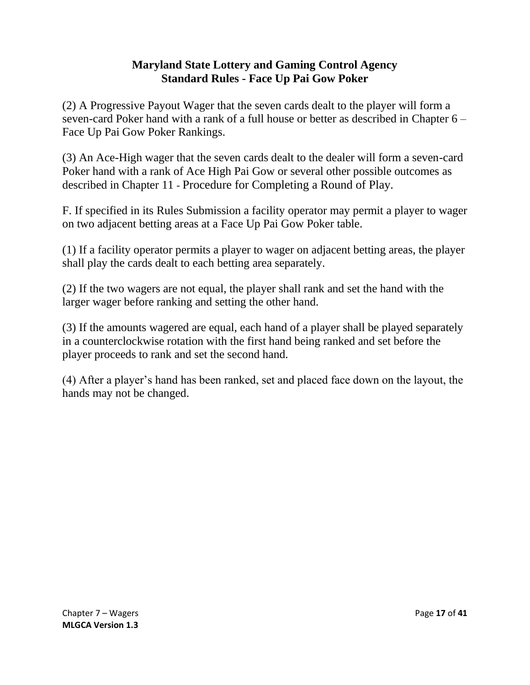(2) A Progressive Payout Wager that the seven cards dealt to the player will form a seven-card Poker hand with a rank of a full house or better as described in Chapter 6 – Face Up Pai Gow Poker Rankings.

(3) An Ace-High wager that the seven cards dealt to the dealer will form a seven-card Poker hand with a rank of Ace High Pai Gow or several other possible outcomes as described in Chapter 11 - Procedure for Completing a Round of Play.

F. If specified in its Rules Submission a facility operator may permit a player to wager on two adjacent betting areas at a Face Up Pai Gow Poker table.

(1) If a facility operator permits a player to wager on adjacent betting areas, the player shall play the cards dealt to each betting area separately.

(2) If the two wagers are not equal, the player shall rank and set the hand with the larger wager before ranking and setting the other hand.

(3) If the amounts wagered are equal, each hand of a player shall be played separately in a counterclockwise rotation with the first hand being ranked and set before the player proceeds to rank and set the second hand.

(4) After a player's hand has been ranked, set and placed face down on the layout, the hands may not be changed.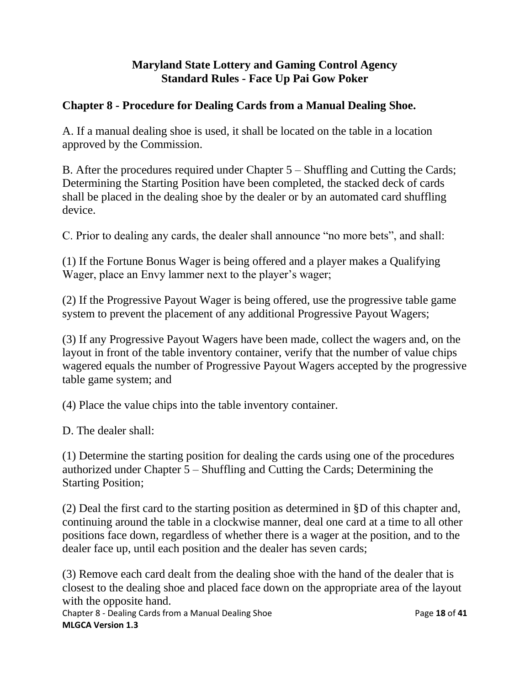#### <span id="page-17-0"></span>**Chapter 8 - Procedure for Dealing Cards from a Manual Dealing Shoe.**

A. If a manual dealing shoe is used, it shall be located on the table in a location approved by the Commission.

B. After the procedures required under Chapter 5 – Shuffling and Cutting the Cards; Determining the Starting Position have been completed, the stacked deck of cards shall be placed in the dealing shoe by the dealer or by an automated card shuffling device.

C. Prior to dealing any cards, the dealer shall announce "no more bets", and shall:

(1) If the Fortune Bonus Wager is being offered and a player makes a Qualifying Wager, place an Envy lammer next to the player's wager;

(2) If the Progressive Payout Wager is being offered, use the progressive table game system to prevent the placement of any additional Progressive Payout Wagers;

(3) If any Progressive Payout Wagers have been made, collect the wagers and, on the layout in front of the table inventory container, verify that the number of value chips wagered equals the number of Progressive Payout Wagers accepted by the progressive table game system; and

(4) Place the value chips into the table inventory container.

D. The dealer shall:

(1) Determine the starting position for dealing the cards using one of the procedures authorized under Chapter 5 – Shuffling and Cutting the Cards; Determining the Starting Position;

(2) Deal the first card to the starting position as determined in §D of this chapter and, continuing around the table in a clockwise manner, deal one card at a time to all other positions face down, regardless of whether there is a wager at the position, and to the dealer face up, until each position and the dealer has seven cards;

(3) Remove each card dealt from the dealing shoe with the hand of the dealer that is closest to the dealing shoe and placed face down on the appropriate area of the layout with the opposite hand.

Chapter 8 - Dealing Cards from a Manual Dealing Shoe Page **18** of **41 MLGCA Version 1.3**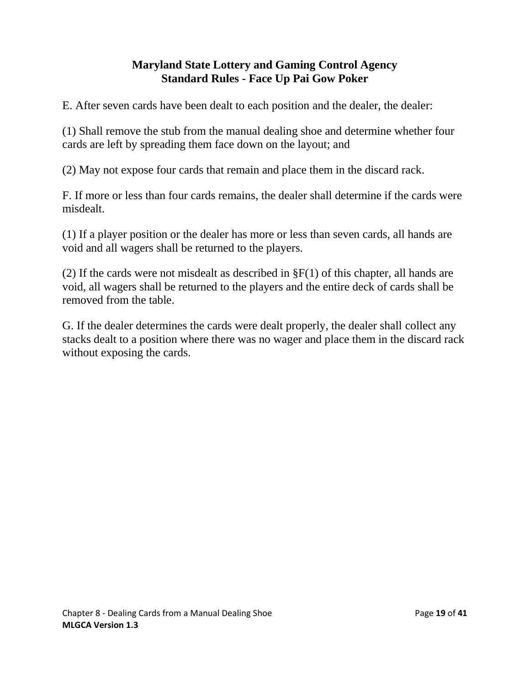E. After seven cards have been dealt to each position and the dealer, the dealer:

(1) Shall remove the stub from the manual dealing shoe and determine whether four cards are left by spreading them face down on the layout; and

(2) May not expose four cards that remain and place them in the discard rack.

F. If more or less than four cards remains, the dealer shall determine if the cards were misdealt.

(1) If a player position or the dealer has more or less than seven cards, all hands are void and all wagers shall be returned to the players.

(2) If the cards were not misdealt as described in  $\S F(1)$  of this chapter, all hands are void, all wagers shall be returned to the players and the entire deck of cards shall be removed from the table.

<span id="page-18-0"></span>G. If the dealer determines the cards were dealt properly, the dealer shall collect any stacks dealt to a position where there was no wager and place them in the discard rack without exposing the cards.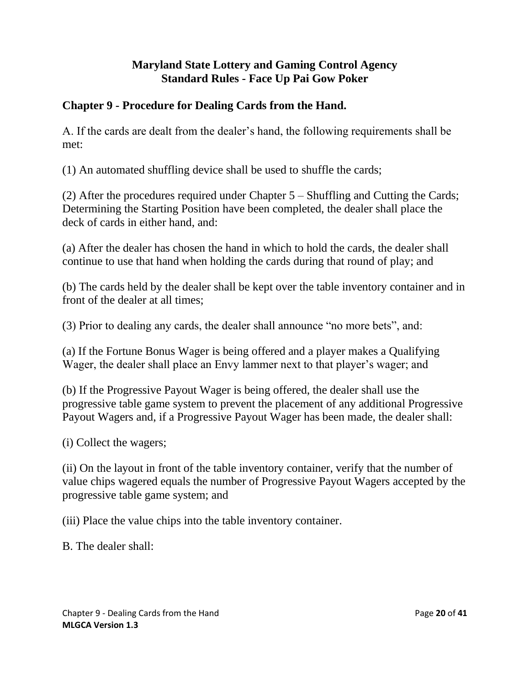### **Chapter 9 - Procedure for Dealing Cards from the Hand.**

A. If the cards are dealt from the dealer's hand, the following requirements shall be met:

(1) An automated shuffling device shall be used to shuffle the cards;

(2) After the procedures required under Chapter 5 – Shuffling and Cutting the Cards; Determining the Starting Position have been completed, the dealer shall place the deck of cards in either hand, and:

(a) After the dealer has chosen the hand in which to hold the cards, the dealer shall continue to use that hand when holding the cards during that round of play; and

(b) The cards held by the dealer shall be kept over the table inventory container and in front of the dealer at all times;

(3) Prior to dealing any cards, the dealer shall announce "no more bets", and:

(a) If the Fortune Bonus Wager is being offered and a player makes a Qualifying Wager, the dealer shall place an Envy lammer next to that player's wager; and

(b) If the Progressive Payout Wager is being offered, the dealer shall use the progressive table game system to prevent the placement of any additional Progressive Payout Wagers and, if a Progressive Payout Wager has been made, the dealer shall:

(i) Collect the wagers;

(ii) On the layout in front of the table inventory container, verify that the number of value chips wagered equals the number of Progressive Payout Wagers accepted by the progressive table game system; and

(iii) Place the value chips into the table inventory container.

B. The dealer shall: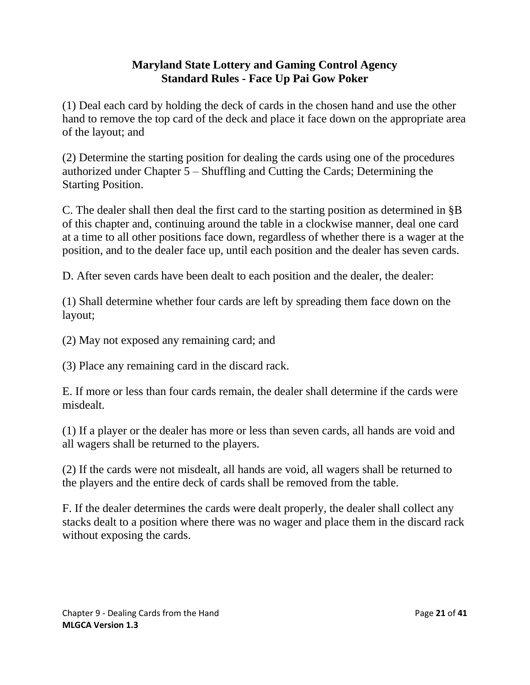(1) Deal each card by holding the deck of cards in the chosen hand and use the other hand to remove the top card of the deck and place it face down on the appropriate area of the layout; and

(2) Determine the starting position for dealing the cards using one of the procedures authorized under Chapter 5 – Shuffling and Cutting the Cards; Determining the Starting Position.

C. The dealer shall then deal the first card to the starting position as determined in §B of this chapter and, continuing around the table in a clockwise manner, deal one card at a time to all other positions face down, regardless of whether there is a wager at the position, and to the dealer face up, until each position and the dealer has seven cards.

D. After seven cards have been dealt to each position and the dealer, the dealer:

(1) Shall determine whether four cards are left by spreading them face down on the layout;

(2) May not exposed any remaining card; and

(3) Place any remaining card in the discard rack.

E. If more or less than four cards remain, the dealer shall determine if the cards were misdealt.

(1) If a player or the dealer has more or less than seven cards, all hands are void and all wagers shall be returned to the players.

(2) If the cards were not misdealt, all hands are void, all wagers shall be returned to the players and the entire deck of cards shall be removed from the table.

F. If the dealer determines the cards were dealt properly, the dealer shall collect any stacks dealt to a position where there was no wager and place them in the discard rack without exposing the cards.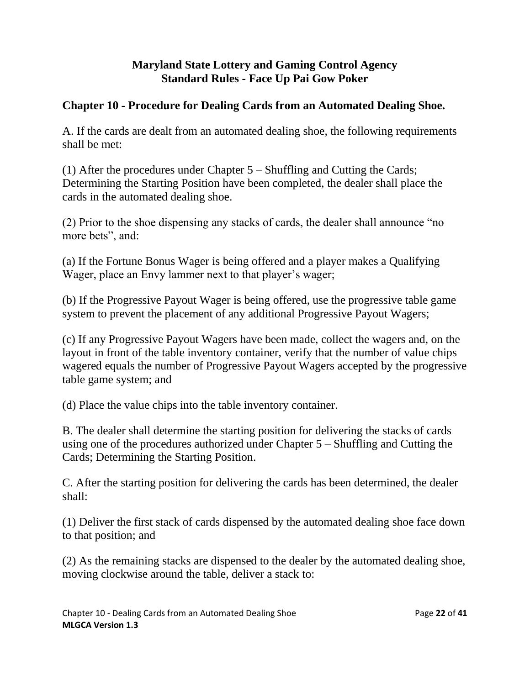# <span id="page-21-0"></span>**Chapter 10 - Procedure for Dealing Cards from an Automated Dealing Shoe.**

A. If the cards are dealt from an automated dealing shoe, the following requirements shall be met:

(1) After the procedures under Chapter 5 – Shuffling and Cutting the Cards; Determining the Starting Position have been completed, the dealer shall place the cards in the automated dealing shoe.

(2) Prior to the shoe dispensing any stacks of cards, the dealer shall announce "no more bets", and:

(a) If the Fortune Bonus Wager is being offered and a player makes a Qualifying Wager, place an Envy lammer next to that player's wager;

(b) If the Progressive Payout Wager is being offered, use the progressive table game system to prevent the placement of any additional Progressive Payout Wagers;

(c) If any Progressive Payout Wagers have been made, collect the wagers and, on the layout in front of the table inventory container, verify that the number of value chips wagered equals the number of Progressive Payout Wagers accepted by the progressive table game system; and

(d) Place the value chips into the table inventory container.

B. The dealer shall determine the starting position for delivering the stacks of cards using one of the procedures authorized under Chapter 5 – Shuffling and Cutting the Cards; Determining the Starting Position.

C. After the starting position for delivering the cards has been determined, the dealer shall:

(1) Deliver the first stack of cards dispensed by the automated dealing shoe face down to that position; and

(2) As the remaining stacks are dispensed to the dealer by the automated dealing shoe, moving clockwise around the table, deliver a stack to: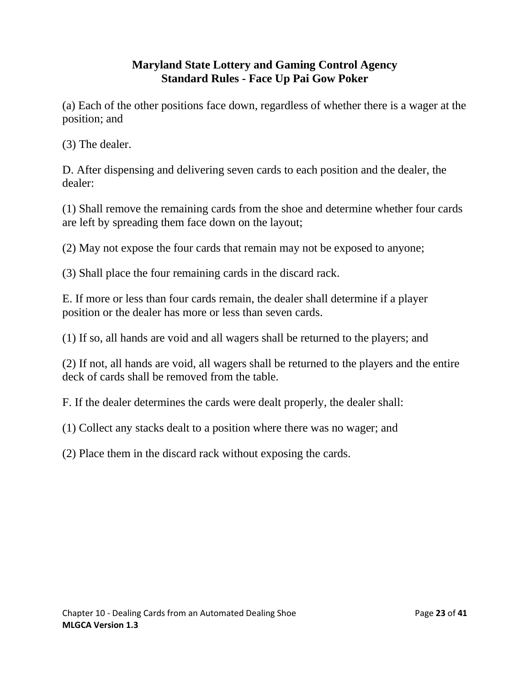(a) Each of the other positions face down, regardless of whether there is a wager at the position; and

(3) The dealer.

D. After dispensing and delivering seven cards to each position and the dealer, the dealer:

(1) Shall remove the remaining cards from the shoe and determine whether four cards are left by spreading them face down on the layout;

(2) May not expose the four cards that remain may not be exposed to anyone;

(3) Shall place the four remaining cards in the discard rack.

E. If more or less than four cards remain, the dealer shall determine if a player position or the dealer has more or less than seven cards.

(1) If so, all hands are void and all wagers shall be returned to the players; and

(2) If not, all hands are void, all wagers shall be returned to the players and the entire deck of cards shall be removed from the table.

F. If the dealer determines the cards were dealt properly, the dealer shall:

(1) Collect any stacks dealt to a position where there was no wager; and

(2) Place them in the discard rack without exposing the cards.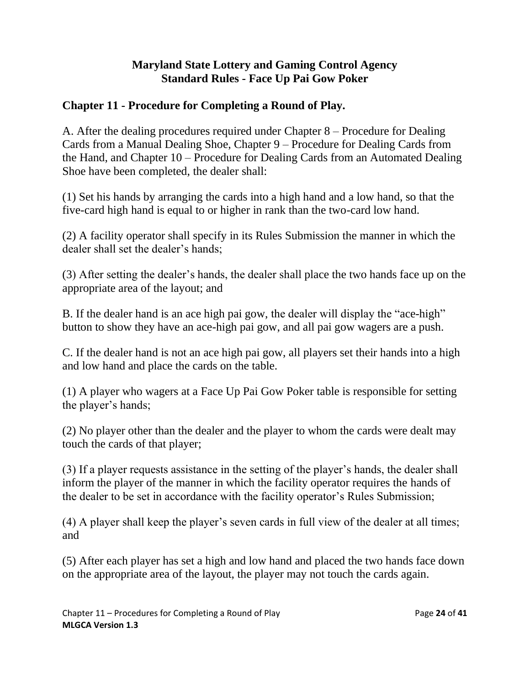# <span id="page-23-0"></span>**Chapter 11 - Procedure for Completing a Round of Play.**

A. After the dealing procedures required under Chapter 8 – Procedure for Dealing Cards from a Manual Dealing Shoe, Chapter 9 – Procedure for Dealing Cards from the Hand, and Chapter 10 – Procedure for Dealing Cards from an Automated Dealing Shoe have been completed, the dealer shall:

(1) Set his hands by arranging the cards into a high hand and a low hand, so that the five-card high hand is equal to or higher in rank than the two-card low hand.

(2) A facility operator shall specify in its Rules Submission the manner in which the dealer shall set the dealer's hands;

(3) After setting the dealer's hands, the dealer shall place the two hands face up on the appropriate area of the layout; and

B. If the dealer hand is an ace high pai gow, the dealer will display the "ace-high" button to show they have an ace-high pai gow, and all pai gow wagers are a push.

C. If the dealer hand is not an ace high pai gow, all players set their hands into a high and low hand and place the cards on the table.

(1) A player who wagers at a Face Up Pai Gow Poker table is responsible for setting the player's hands;

(2) No player other than the dealer and the player to whom the cards were dealt may touch the cards of that player;

(3) If a player requests assistance in the setting of the player's hands, the dealer shall inform the player of the manner in which the facility operator requires the hands of the dealer to be set in accordance with the facility operator's Rules Submission;

(4) A player shall keep the player's seven cards in full view of the dealer at all times; and

(5) After each player has set a high and low hand and placed the two hands face down on the appropriate area of the layout, the player may not touch the cards again.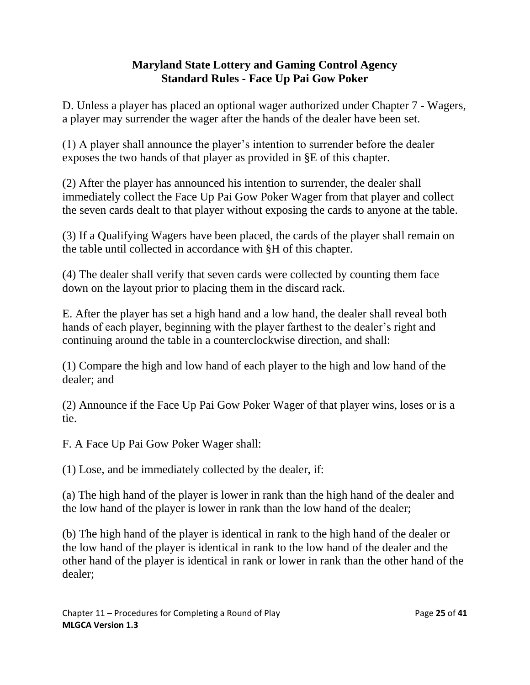D. Unless a player has placed an optional wager authorized under Chapter 7 - Wagers, a player may surrender the wager after the hands of the dealer have been set.

(1) A player shall announce the player's intention to surrender before the dealer exposes the two hands of that player as provided in §E of this chapter.

(2) After the player has announced his intention to surrender, the dealer shall immediately collect the Face Up Pai Gow Poker Wager from that player and collect the seven cards dealt to that player without exposing the cards to anyone at the table.

(3) If a Qualifying Wagers have been placed, the cards of the player shall remain on the table until collected in accordance with §H of this chapter.

(4) The dealer shall verify that seven cards were collected by counting them face down on the layout prior to placing them in the discard rack.

E. After the player has set a high hand and a low hand, the dealer shall reveal both hands of each player, beginning with the player farthest to the dealer's right and continuing around the table in a counterclockwise direction, and shall:

(1) Compare the high and low hand of each player to the high and low hand of the dealer; and

(2) Announce if the Face Up Pai Gow Poker Wager of that player wins, loses or is a tie.

F. A Face Up Pai Gow Poker Wager shall:

(1) Lose, and be immediately collected by the dealer, if:

(a) The high hand of the player is lower in rank than the high hand of the dealer and the low hand of the player is lower in rank than the low hand of the dealer;

(b) The high hand of the player is identical in rank to the high hand of the dealer or the low hand of the player is identical in rank to the low hand of the dealer and the other hand of the player is identical in rank or lower in rank than the other hand of the dealer;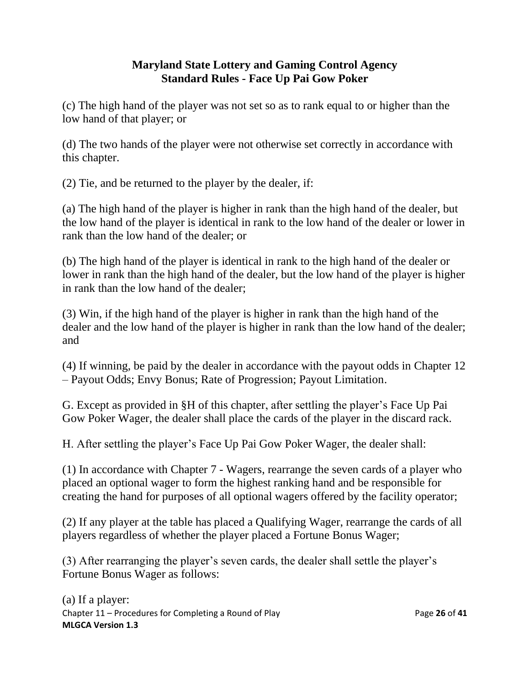(c) The high hand of the player was not set so as to rank equal to or higher than the low hand of that player; or

(d) The two hands of the player were not otherwise set correctly in accordance with this chapter.

(2) Tie, and be returned to the player by the dealer, if:

(a) The high hand of the player is higher in rank than the high hand of the dealer, but the low hand of the player is identical in rank to the low hand of the dealer or lower in rank than the low hand of the dealer; or

(b) The high hand of the player is identical in rank to the high hand of the dealer or lower in rank than the high hand of the dealer, but the low hand of the player is higher in rank than the low hand of the dealer;

(3) Win, if the high hand of the player is higher in rank than the high hand of the dealer and the low hand of the player is higher in rank than the low hand of the dealer; and

(4) If winning, be paid by the dealer in accordance with the payout odds in Chapter 12 – Payout Odds; Envy Bonus; Rate of Progression; Payout Limitation.

G. Except as provided in §H of this chapter, after settling the player's Face Up Pai Gow Poker Wager, the dealer shall place the cards of the player in the discard rack.

H. After settling the player's Face Up Pai Gow Poker Wager, the dealer shall:

(1) In accordance with Chapter 7 - Wagers, rearrange the seven cards of a player who placed an optional wager to form the highest ranking hand and be responsible for creating the hand for purposes of all optional wagers offered by the facility operator;

(2) If any player at the table has placed a Qualifying Wager, rearrange the cards of all players regardless of whether the player placed a Fortune Bonus Wager;

(3) After rearranging the player's seven cards, the dealer shall settle the player's Fortune Bonus Wager as follows: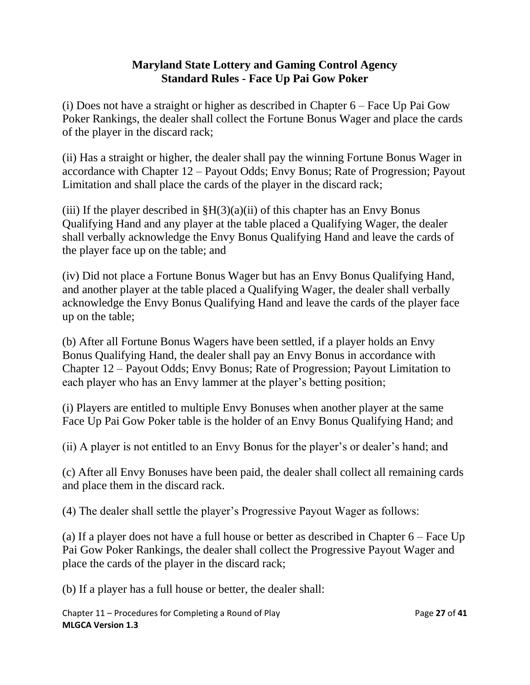(i) Does not have a straight or higher as described in Chapter 6 – Face Up Pai Gow Poker Rankings, the dealer shall collect the Fortune Bonus Wager and place the cards of the player in the discard rack;

(ii) Has a straight or higher, the dealer shall pay the winning Fortune Bonus Wager in accordance with Chapter 12 – Payout Odds; Envy Bonus; Rate of Progression; Payout Limitation and shall place the cards of the player in the discard rack;

(iii) If the player described in  $\frac{8H(3)(a)}{ii}$  of this chapter has an Envy Bonus Qualifying Hand and any player at the table placed a Qualifying Wager, the dealer shall verbally acknowledge the Envy Bonus Qualifying Hand and leave the cards of the player face up on the table; and

(iv) Did not place a Fortune Bonus Wager but has an Envy Bonus Qualifying Hand, and another player at the table placed a Qualifying Wager, the dealer shall verbally acknowledge the Envy Bonus Qualifying Hand and leave the cards of the player face up on the table;

(b) After all Fortune Bonus Wagers have been settled, if a player holds an Envy Bonus Qualifying Hand, the dealer shall pay an Envy Bonus in accordance with Chapter 12 – Payout Odds; Envy Bonus; Rate of Progression; Payout Limitation to each player who has an Envy lammer at the player's betting position;

(i) Players are entitled to multiple Envy Bonuses when another player at the same Face Up Pai Gow Poker table is the holder of an Envy Bonus Qualifying Hand; and

(ii) A player is not entitled to an Envy Bonus for the player's or dealer's hand; and

(c) After all Envy Bonuses have been paid, the dealer shall collect all remaining cards and place them in the discard rack.

(4) The dealer shall settle the player's Progressive Payout Wager as follows:

(a) If a player does not have a full house or better as described in Chapter 6 – Face Up Pai Gow Poker Rankings, the dealer shall collect the Progressive Payout Wager and place the cards of the player in the discard rack;

(b) If a player has a full house or better, the dealer shall:

Chapter 11 – Procedures for Completing a Round of Play Page **27** of **41 MLGCA Version 1.3**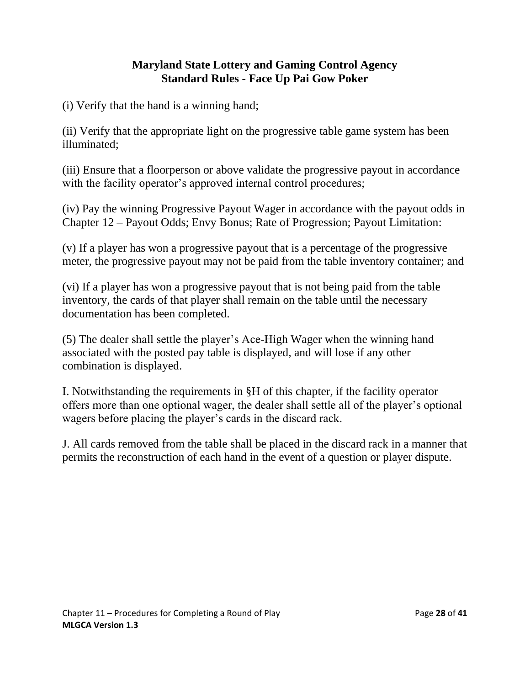(i) Verify that the hand is a winning hand;

(ii) Verify that the appropriate light on the progressive table game system has been illuminated;

(iii) Ensure that a floorperson or above validate the progressive payout in accordance with the facility operator's approved internal control procedures;

(iv) Pay the winning Progressive Payout Wager in accordance with the payout odds in Chapter 12 – Payout Odds; Envy Bonus; Rate of Progression; Payout Limitation:

(v) If a player has won a progressive payout that is a percentage of the progressive meter, the progressive payout may not be paid from the table inventory container; and

(vi) If a player has won a progressive payout that is not being paid from the table inventory, the cards of that player shall remain on the table until the necessary documentation has been completed.

(5) The dealer shall settle the player's Ace-High Wager when the winning hand associated with the posted pay table is displayed, and will lose if any other combination is displayed.

I. Notwithstanding the requirements in §H of this chapter, if the facility operator offers more than one optional wager, the dealer shall settle all of the player's optional wagers before placing the player's cards in the discard rack.

J. All cards removed from the table shall be placed in the discard rack in a manner that permits the reconstruction of each hand in the event of a question or player dispute.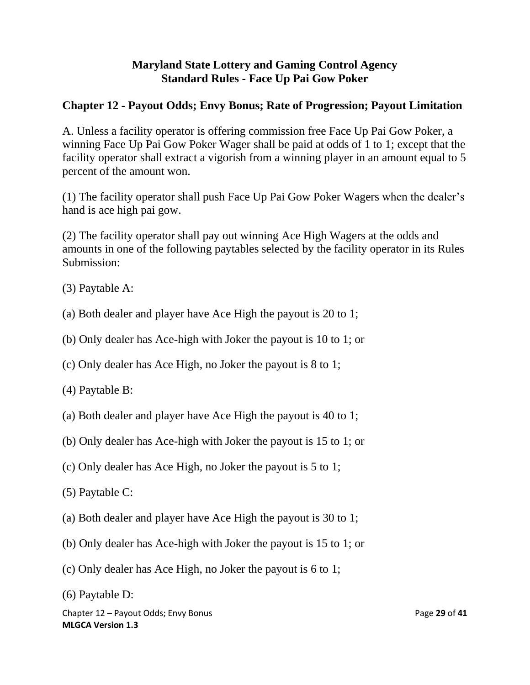# <span id="page-28-0"></span>**Chapter 12 - Payout Odds; Envy Bonus; Rate of Progression; Payout Limitation**

A. Unless a facility operator is offering commission free Face Up Pai Gow Poker, a winning Face Up Pai Gow Poker Wager shall be paid at odds of 1 to 1; except that the facility operator shall extract a vigorish from a winning player in an amount equal to 5 percent of the amount won.

(1) The facility operator shall push Face Up Pai Gow Poker Wagers when the dealer's hand is ace high pai gow.

(2) The facility operator shall pay out winning Ace High Wagers at the odds and amounts in one of the following paytables selected by the facility operator in its Rules Submission:

- (3) Paytable A:
- (a) Both dealer and player have Ace High the payout is 20 to 1;
- (b) Only dealer has Ace-high with Joker the payout is 10 to 1; or
- (c) Only dealer has Ace High, no Joker the payout is 8 to 1;
- (4) Paytable B:
- (a) Both dealer and player have Ace High the payout is 40 to 1;
- (b) Only dealer has Ace-high with Joker the payout is 15 to 1; or
- (c) Only dealer has Ace High, no Joker the payout is 5 to 1;
- (5) Paytable C:
- (a) Both dealer and player have Ace High the payout is 30 to 1;
- (b) Only dealer has Ace-high with Joker the payout is 15 to 1; or
- (c) Only dealer has Ace High, no Joker the payout is 6 to 1;
- (6) Paytable D:

Chapter 12 – Payout Odds; Envy Bonus **Page 29 of 41** entitled a state Page 29 of 41 **MLGCA Version 1.3**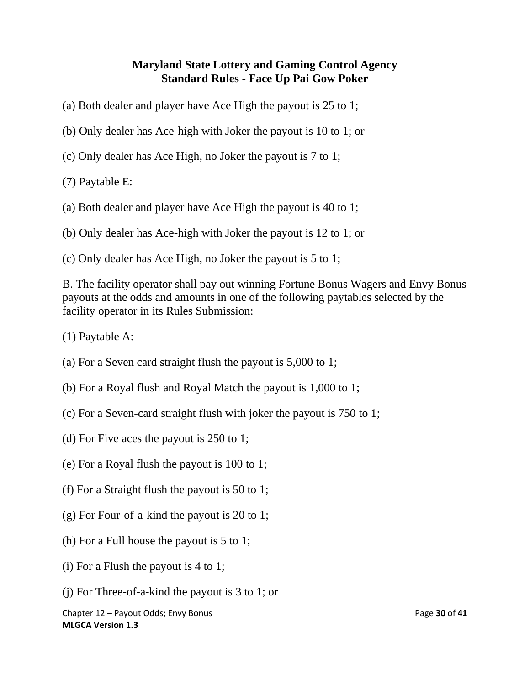- (a) Both dealer and player have Ace High the payout is 25 to 1;
- (b) Only dealer has Ace-high with Joker the payout is 10 to 1; or
- (c) Only dealer has Ace High, no Joker the payout is 7 to 1;
- (7) Paytable E:
- (a) Both dealer and player have Ace High the payout is 40 to 1;
- (b) Only dealer has Ace-high with Joker the payout is 12 to 1; or
- (c) Only dealer has Ace High, no Joker the payout is 5 to 1;

B. The facility operator shall pay out winning Fortune Bonus Wagers and Envy Bonus payouts at the odds and amounts in one of the following paytables selected by the facility operator in its Rules Submission:

- (1) Paytable A:
- (a) For a Seven card straight flush the payout is 5,000 to 1;
- (b) For a Royal flush and Royal Match the payout is 1,000 to 1;
- (c) For a Seven-card straight flush with joker the payout is 750 to 1;
- (d) For Five aces the payout is 250 to 1;
- (e) For a Royal flush the payout is 100 to 1;
- (f) For a Straight flush the payout is 50 to 1;
- (g) For Four-of-a-kind the payout is 20 to 1;
- (h) For a Full house the payout is 5 to 1;
- (i) For a Flush the payout is 4 to 1;
- (j) For Three-of-a-kind the payout is 3 to 1; or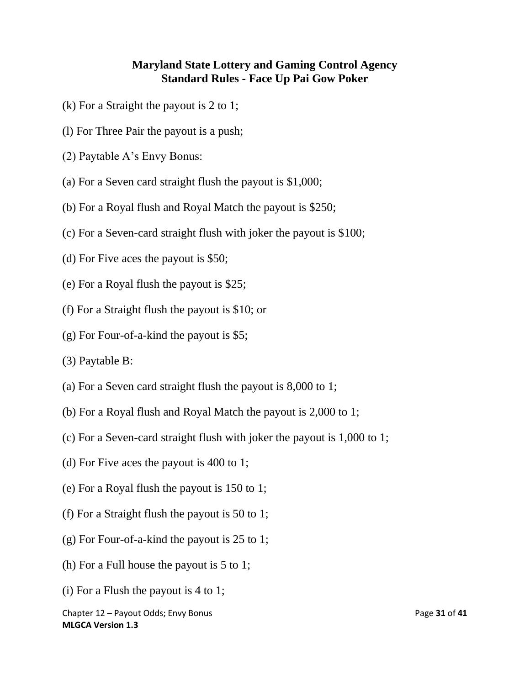- (k) For a Straight the payout is 2 to 1;
- (l) For Three Pair the payout is a push;
- (2) Paytable A's Envy Bonus:
- (a) For a Seven card straight flush the payout is \$1,000;
- (b) For a Royal flush and Royal Match the payout is \$250;
- (c) For a Seven-card straight flush with joker the payout is \$100;
- (d) For Five aces the payout is \$50;
- (e) For a Royal flush the payout is \$25;
- (f) For a Straight flush the payout is \$10; or
- (g) For Four-of-a-kind the payout is \$5;
- (3) Paytable B:
- (a) For a Seven card straight flush the payout is 8,000 to 1;
- (b) For a Royal flush and Royal Match the payout is 2,000 to 1;
- (c) For a Seven-card straight flush with joker the payout is 1,000 to 1;
- (d) For Five aces the payout is 400 to 1;
- (e) For a Royal flush the payout is 150 to 1;
- (f) For a Straight flush the payout is 50 to 1;
- (g) For Four-of-a-kind the payout is 25 to 1;
- (h) For a Full house the payout is 5 to 1;
- (i) For a Flush the payout is 4 to 1;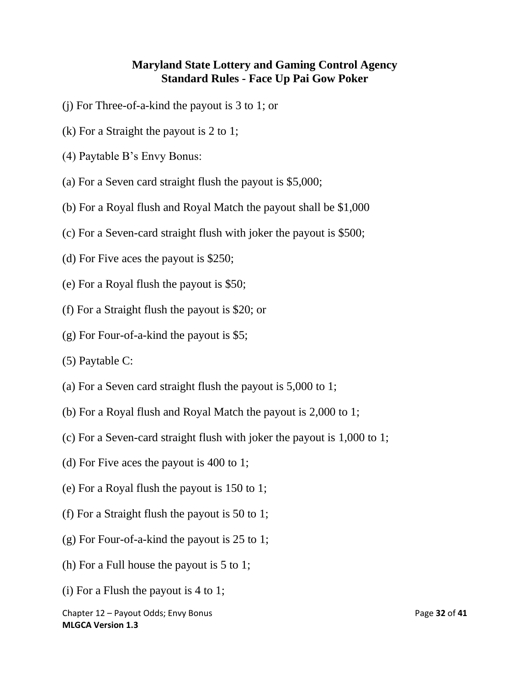- (j) For Three-of-a-kind the payout is 3 to 1; or
- (k) For a Straight the payout is 2 to 1;
- (4) Paytable B's Envy Bonus:
- (a) For a Seven card straight flush the payout is \$5,000;
- (b) For a Royal flush and Royal Match the payout shall be \$1,000
- (c) For a Seven-card straight flush with joker the payout is \$500;
- (d) For Five aces the payout is \$250;
- (e) For a Royal flush the payout is \$50;
- (f) For a Straight flush the payout is \$20; or
- (g) For Four-of-a-kind the payout is \$5;
- (5) Paytable C:
- (a) For a Seven card straight flush the payout is 5,000 to 1;
- (b) For a Royal flush and Royal Match the payout is 2,000 to 1;
- (c) For a Seven-card straight flush with joker the payout is 1,000 to 1;
- (d) For Five aces the payout is 400 to 1;
- (e) For a Royal flush the payout is 150 to 1;
- (f) For a Straight flush the payout is 50 to 1;
- (g) For Four-of-a-kind the payout is 25 to 1;
- (h) For a Full house the payout is 5 to 1;
- (i) For a Flush the payout is 4 to 1;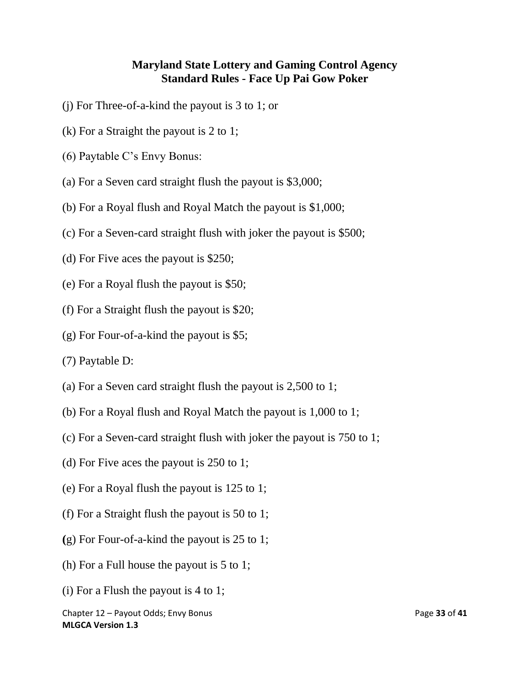- (j) For Three-of-a-kind the payout is 3 to 1; or
- (k) For a Straight the payout is 2 to 1;
- (6) Paytable C's Envy Bonus:
- (a) For a Seven card straight flush the payout is \$3,000;
- (b) For a Royal flush and Royal Match the payout is \$1,000;
- (c) For a Seven-card straight flush with joker the payout is \$500;
- (d) For Five aces the payout is \$250;
- (e) For a Royal flush the payout is \$50;
- (f) For a Straight flush the payout is \$20;
- (g) For Four-of-a-kind the payout is \$5;
- (7) Paytable D:
- (a) For a Seven card straight flush the payout is 2,500 to 1;
- (b) For a Royal flush and Royal Match the payout is 1,000 to 1;
- (c) For a Seven-card straight flush with joker the payout is 750 to 1;
- (d) For Five aces the payout is 250 to 1;
- (e) For a Royal flush the payout is 125 to 1;
- (f) For a Straight flush the payout is 50 to 1;
- **(**g) For Four-of-a-kind the payout is 25 to 1;
- (h) For a Full house the payout is 5 to 1;
- (i) For a Flush the payout is 4 to 1;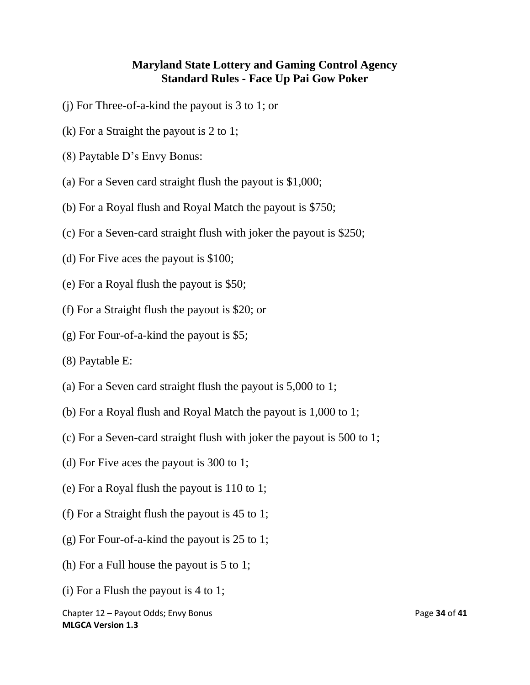- (j) For Three-of-a-kind the payout is 3 to 1; or
- (k) For a Straight the payout is 2 to 1;
- (8) Paytable D's Envy Bonus:
- (a) For a Seven card straight flush the payout is \$1,000;
- (b) For a Royal flush and Royal Match the payout is \$750;
- (c) For a Seven-card straight flush with joker the payout is \$250;
- (d) For Five aces the payout is \$100;
- (e) For a Royal flush the payout is \$50;
- (f) For a Straight flush the payout is \$20; or
- (g) For Four-of-a-kind the payout is \$5;
- (8) Paytable E:
- (a) For a Seven card straight flush the payout is 5,000 to 1;
- (b) For a Royal flush and Royal Match the payout is 1,000 to 1;
- (c) For a Seven-card straight flush with joker the payout is 500 to 1;
- (d) For Five aces the payout is 300 to 1;
- (e) For a Royal flush the payout is 110 to 1;
- (f) For a Straight flush the payout is 45 to 1;
- (g) For Four-of-a-kind the payout is 25 to 1;
- (h) For a Full house the payout is 5 to 1;
- (i) For a Flush the payout is 4 to 1;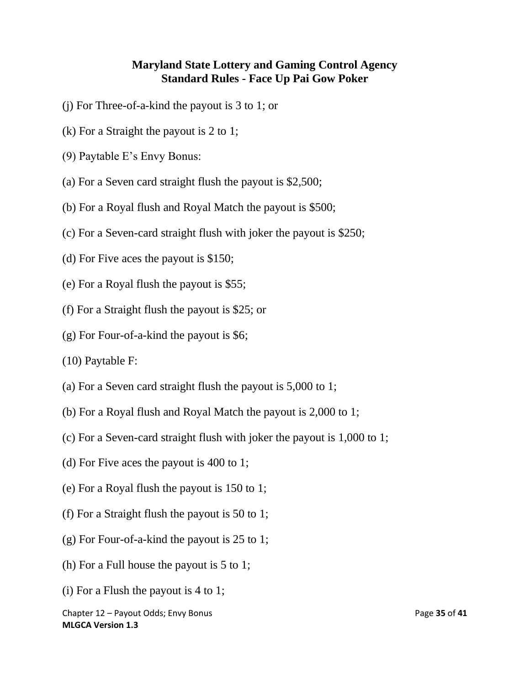- (j) For Three-of-a-kind the payout is 3 to 1; or
- (k) For a Straight the payout is 2 to 1;
- (9) Paytable E's Envy Bonus:
- (a) For a Seven card straight flush the payout is \$2,500;
- (b) For a Royal flush and Royal Match the payout is \$500;
- (c) For a Seven-card straight flush with joker the payout is \$250;
- (d) For Five aces the payout is \$150;
- (e) For a Royal flush the payout is \$55;
- (f) For a Straight flush the payout is \$25; or
- (g) For Four-of-a-kind the payout is \$6;
- (10) Paytable F:
- (a) For a Seven card straight flush the payout is 5,000 to 1;
- (b) For a Royal flush and Royal Match the payout is 2,000 to 1;
- (c) For a Seven-card straight flush with joker the payout is 1,000 to 1;
- (d) For Five aces the payout is 400 to 1;
- (e) For a Royal flush the payout is 150 to 1;
- (f) For a Straight flush the payout is 50 to 1;
- (g) For Four-of-a-kind the payout is 25 to 1;
- (h) For a Full house the payout is 5 to 1;
- (i) For a Flush the payout is 4 to 1;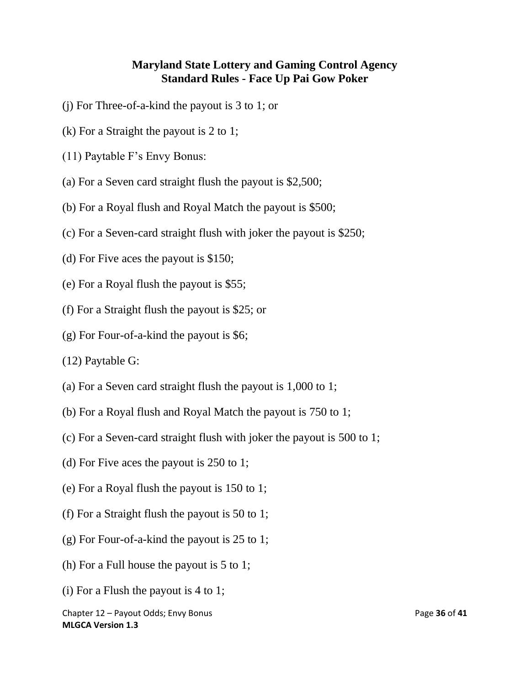- (j) For Three-of-a-kind the payout is 3 to 1; or
- (k) For a Straight the payout is 2 to 1;
- (11) Paytable F's Envy Bonus:
- (a) For a Seven card straight flush the payout is \$2,500;
- (b) For a Royal flush and Royal Match the payout is \$500;
- (c) For a Seven-card straight flush with joker the payout is \$250;
- (d) For Five aces the payout is \$150;
- (e) For a Royal flush the payout is \$55;
- (f) For a Straight flush the payout is \$25; or
- (g) For Four-of-a-kind the payout is \$6;
- (12) Paytable G:
- (a) For a Seven card straight flush the payout is 1,000 to 1;
- (b) For a Royal flush and Royal Match the payout is 750 to 1;
- (c) For a Seven-card straight flush with joker the payout is 500 to 1;
- (d) For Five aces the payout is 250 to 1;
- (e) For a Royal flush the payout is 150 to 1;
- (f) For a Straight flush the payout is 50 to 1;
- (g) For Four-of-a-kind the payout is 25 to 1;
- (h) For a Full house the payout is 5 to 1;
- (i) For a Flush the payout is 4 to 1;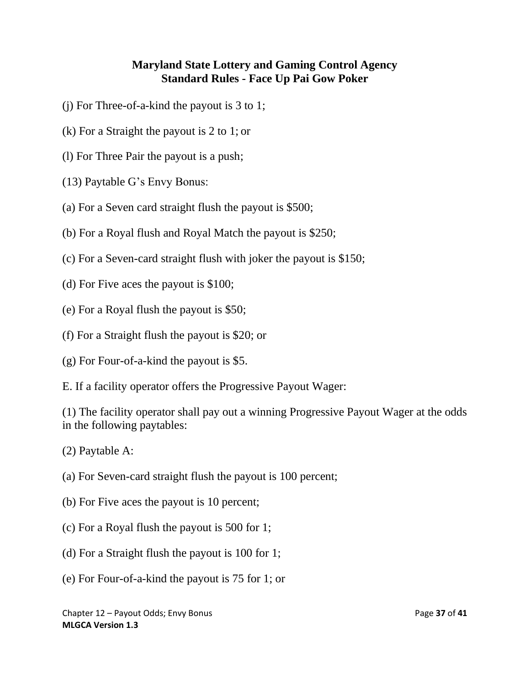- (j) For Three-of-a-kind the payout is 3 to 1;
- (k) For a Straight the payout is 2 to 1; or
- (l) For Three Pair the payout is a push;
- (13) Paytable G's Envy Bonus:
- (a) For a Seven card straight flush the payout is \$500;
- (b) For a Royal flush and Royal Match the payout is \$250;
- (c) For a Seven-card straight flush with joker the payout is \$150;
- (d) For Five aces the payout is \$100;
- (e) For a Royal flush the payout is \$50;
- (f) For a Straight flush the payout is \$20; or
- (g) For Four-of-a-kind the payout is \$5.
- E. If a facility operator offers the Progressive Payout Wager:

(1) The facility operator shall pay out a winning Progressive Payout Wager at the odds in the following paytables:

(2) Paytable A:

- (a) For Seven-card straight flush the payout is 100 percent;
- (b) For Five aces the payout is 10 percent;
- (c) For a Royal flush the payout is 500 for 1;
- (d) For a Straight flush the payout is 100 for 1;
- (e) For Four-of-a-kind the payout is 75 for 1; or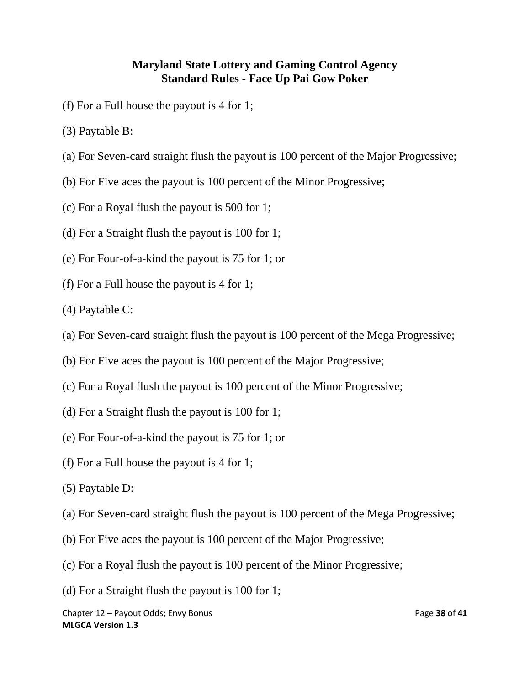- (f) For a Full house the payout is 4 for 1;
- (3) Paytable B:
- (a) For Seven-card straight flush the payout is 100 percent of the Major Progressive;
- (b) For Five aces the payout is 100 percent of the Minor Progressive;
- (c) For a Royal flush the payout is 500 for 1;
- (d) For a Straight flush the payout is 100 for 1;
- (e) For Four-of-a-kind the payout is 75 for 1; or
- (f) For a Full house the payout is 4 for 1;
- (4) Paytable C:
- (a) For Seven-card straight flush the payout is 100 percent of the Mega Progressive;
- (b) For Five aces the payout is 100 percent of the Major Progressive;
- (c) For a Royal flush the payout is 100 percent of the Minor Progressive;
- (d) For a Straight flush the payout is 100 for 1;
- (e) For Four-of-a-kind the payout is 75 for 1; or
- (f) For a Full house the payout is 4 for 1;
- (5) Paytable D:
- (a) For Seven-card straight flush the payout is 100 percent of the Mega Progressive;
- (b) For Five aces the payout is 100 percent of the Major Progressive;
- (c) For a Royal flush the payout is 100 percent of the Minor Progressive;
- (d) For a Straight flush the payout is 100 for 1;

Chapter 12 – Payout Odds; Envy Bonus **Page 38** of 41 **MLGCA Version 1.3**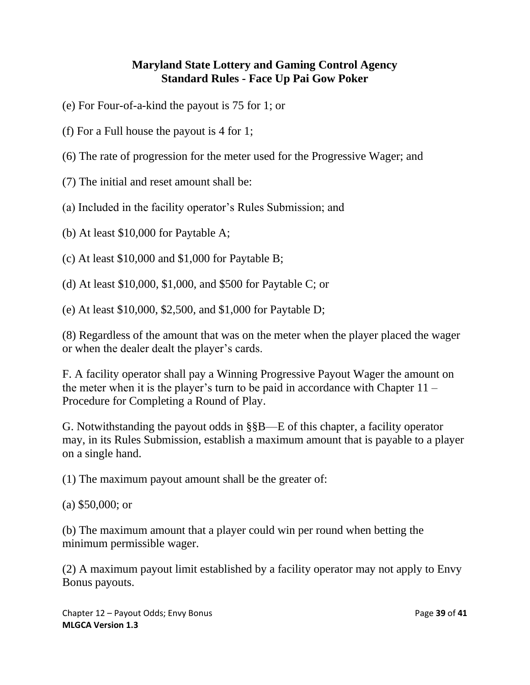- (e) For Four-of-a-kind the payout is 75 for 1; or
- (f) For a Full house the payout is 4 for 1;
- (6) The rate of progression for the meter used for the Progressive Wager; and
- (7) The initial and reset amount shall be:
- (a) Included in the facility operator's Rules Submission; and
- (b) At least \$10,000 for Paytable A;
- (c) At least \$10,000 and \$1,000 for Paytable B;
- (d) At least \$10,000, \$1,000, and \$500 for Paytable C; or
- (e) At least \$10,000, \$2,500, and \$1,000 for Paytable D;

(8) Regardless of the amount that was on the meter when the player placed the wager or when the dealer dealt the player's cards.

F. A facility operator shall pay a Winning Progressive Payout Wager the amount on the meter when it is the player's turn to be paid in accordance with Chapter  $11 -$ Procedure for Completing a Round of Play.

G. Notwithstanding the payout odds in §§B—E of this chapter, a facility operator may, in its Rules Submission, establish a maximum amount that is payable to a player on a single hand.

(1) The maximum payout amount shall be the greater of:

(a) \$50,000; or

(b) The maximum amount that a player could win per round when betting the minimum permissible wager.

(2) A maximum payout limit established by a facility operator may not apply to Envy Bonus payouts.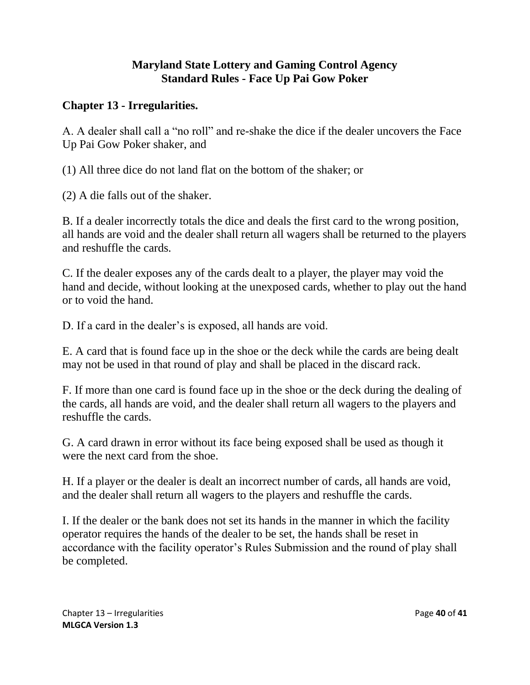### <span id="page-39-0"></span>**Chapter 13 - Irregularities.**

A. A dealer shall call a "no roll" and re-shake the dice if the dealer uncovers the Face Up Pai Gow Poker shaker, and

(1) All three dice do not land flat on the bottom of the shaker; or

(2) A die falls out of the shaker.

B. If a dealer incorrectly totals the dice and deals the first card to the wrong position, all hands are void and the dealer shall return all wagers shall be returned to the players and reshuffle the cards.

C. If the dealer exposes any of the cards dealt to a player, the player may void the hand and decide, without looking at the unexposed cards, whether to play out the hand or to void the hand.

D. If a card in the dealer's is exposed, all hands are void.

E. A card that is found face up in the shoe or the deck while the cards are being dealt may not be used in that round of play and shall be placed in the discard rack.

F. If more than one card is found face up in the shoe or the deck during the dealing of the cards, all hands are void, and the dealer shall return all wagers to the players and reshuffle the cards.

G. A card drawn in error without its face being exposed shall be used as though it were the next card from the shoe.

H. If a player or the dealer is dealt an incorrect number of cards, all hands are void, and the dealer shall return all wagers to the players and reshuffle the cards.

I. If the dealer or the bank does not set its hands in the manner in which the facility operator requires the hands of the dealer to be set, the hands shall be reset in accordance with the facility operator's Rules Submission and the round of play shall be completed.